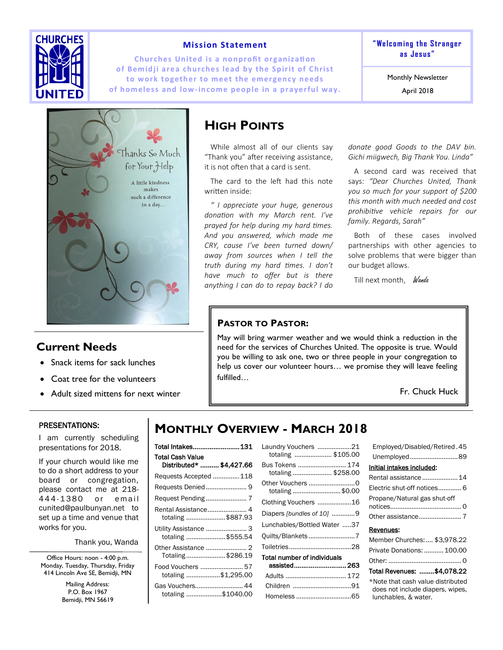

### **Mission Statement**

**Churches United is a nonprofit organization** of Bemidji area churches lead by the Spirit of Christ to work together to meet the emergency needs **of homeless and low-income people in a prayerful way.**  **" We lc om in g t he S tr a nger as J es us "**

Monthly Newsletter

April 2018



### **Current Needs**

- Snack items for sack lunches
- Coat tree for the volunteers
- Adult sized mittens for next winter

## **HIGH POINTS**

While almost all of our clients say "Thank you" after receiving assistance, it is not often that a card is sent.

The card to the left had this note written inside:

*" I appreciate your huge, generous donation with my March rent. I've prayed for help during my hard times. And you answered, which made me CRY, cause I've been turned down/ away from sources when I tell the truth during my hard times. I don't have much to offer but is there anything I can do to repay back? I do* 

*donate good Goods to the DAV bin. Gichi miigwech, Big Thank You. Linda"*

A second card was received that says: *"Dear Churches United, Thank you so much for your support of \$200 this month with much needed and cost prohibitive vehicle repairs for our family. Regards, Sarah"*

Both of these cases involved partnerships with other agencies to solve problems that were bigger than our budget allows.

Till next month, Wanda

### **PASTOR TO PASTOR:**

May will bring warmer weather and we would think a reduction in the need for the services of Churches United. The opposite is true. Would you be willing to ask one, two or three people in your congregation to help us cover our volunteer hours… we promise they will leave feeling fulfilled…

Fr. Chuck Huck

#### PRESENTATIONS:

I am currently scheduling presentations for 2018.

If your church would like me to do a short address to your board or congregation, please contact me at 218- 444-1380 or email cunited@paulbunyan.net to set up a time and venue that works for you.

Thank you, Wanda

Office Hours: noon - 4:00 p.m. Monday, Tuesday, Thursday, Friday 414 Lincoln Ave SE, Bemidji, MN

> Mailing Address: P.O. Box 1967 Bemidji, MN 56619

# **MONTHLY OVERVIEW - MARCH 2018**

| Total Intakes 131                                   |
|-----------------------------------------------------|
| <b>Total Cash Value</b><br>Distributed*  \$4,427.66 |
| Requests Accepted 118                               |
| Requests Denied 9                                   |
|                                                     |
| Rental Assistance 4<br>totaling \$887.93            |
| Utility Assistance  3<br>totaling \$555.54          |
| Totaling\$286.19                                    |
| Food Vouchers  57<br>totaling \$1,295.00            |
| Gas Vouchers 44<br>totaling \$1040.00               |

| Laundry Vouchers 21<br>totaling  \$105.00 |  |
|-------------------------------------------|--|
| Bus Tokens  174<br>totaling  \$258.00     |  |
| totaling \$0.00                           |  |
| Clothing Vouchers 16                      |  |
| Diapers [bundles of 10] 9                 |  |
| Lunchables/Bottled Water 37               |  |
| Quilts/Blankets 7                         |  |
|                                           |  |
| <b>Total number of individuals</b>        |  |
| assisted263                               |  |
| Adults  172                               |  |
| Children 91                               |  |
| Homeless 65                               |  |

| Employed/Disabled/Retired.45 |
|------------------------------|
| Unemployed89                 |
| Initial intakes included:    |
| Rental assistance  14        |
| Electric shut-off notices 6  |
| Propane/Natural gas shut-off |
|                              |
| Revenues:                    |

### Member Churches: .... \$3,978.22 Private Donations: ...........100.00 Other: ......................................... 0 Total Revenues: ........ \$4,078.22

\*Note that cash value distributed does not include diapers, wipes, lunchables, & water.